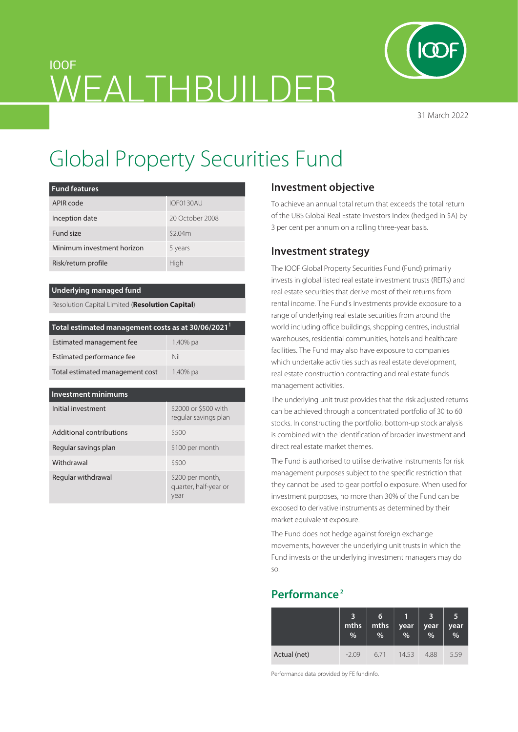

31 March 2022

# IOOF WFAI THBUILDFR

# Global Property Securities Fund

| <b>Fund features</b>       |                 |
|----------------------------|-----------------|
| APIR code                  | IOF0130AU       |
| Inception date             | 20 October 2008 |
| Fund size                  | \$2.04m         |
| Minimum investment horizon | 5 years         |
| Risk/return profile        | High            |

#### **Underlying managed fund**

Resolution Capital Limited (**Resolution Capital**)

| Total estimated management costs as at 30/06/2021 <sup>1</sup> |          |  |  |  |  |
|----------------------------------------------------------------|----------|--|--|--|--|
| Estimated management fee                                       | 1.40% pa |  |  |  |  |
| Estimated performance fee                                      | Nil      |  |  |  |  |
| Total estimated management cost                                | 1.40% pa |  |  |  |  |

# **Investment minimums**

| Initial investment       | \$2000 or \$500 with<br>regular savings plan      |
|--------------------------|---------------------------------------------------|
| Additional contributions | \$500                                             |
| Regular savings plan     | \$100 per month                                   |
| Withdrawal               | \$500                                             |
| Regular withdrawal       | \$200 per month,<br>quarter, half-year or<br>year |

# **Investment objective**

To achieve an annual total return that exceeds the total return of the UBS Global Real Estate Investors Index (hedged in \$A) by 3 per cent per annum on a rolling three-year basis.

# **Investment strategy**

The IOOF Global Property Securities Fund (Fund) primarily invests in global listed real estate investment trusts (REITs) and real estate securities that derive most of their returns from rental income. The Fund's Investments provide exposure to a range of underlying real estate securities from around the world including office buildings, shopping centres, industrial warehouses, residential communities, hotels and healthcare facilities. The Fund may also have exposure to companies which undertake activities such as real estate development, real estate construction contracting and real estate funds management activities.

The underlying unit trust provides that the risk adjusted returns can be achieved through a concentrated portfolio of 30 to 60 stocks. In constructing the portfolio, bottom-up stock analysis is combined with the identification of broader investment and direct real estate market themes.

The Fund is authorised to utilise derivative instruments for risk management purposes subject to the specific restriction that they cannot be used to gear portfolio exposure. When used for investment purposes, no more than 30% of the Fund can be exposed to derivative instruments as determined by their market equivalent exposure.

The Fund does not hedge against foreign exchange movements, however the underlying unit trusts in which the Fund invests or the underlying investment managers may do so.

# **Performance 2**

|              | mths<br>% | 6<br>mths<br>% | year<br>$\%$ | 3<br>year<br>$\frac{0}{0}$ | 5<br>year<br>$\frac{1}{2}$ |
|--------------|-----------|----------------|--------------|----------------------------|----------------------------|
| Actual (net) | $-2.09$   | 671            | 14.53        | 4.88                       | 5.59                       |

Performance data provided by FE fundinfo.